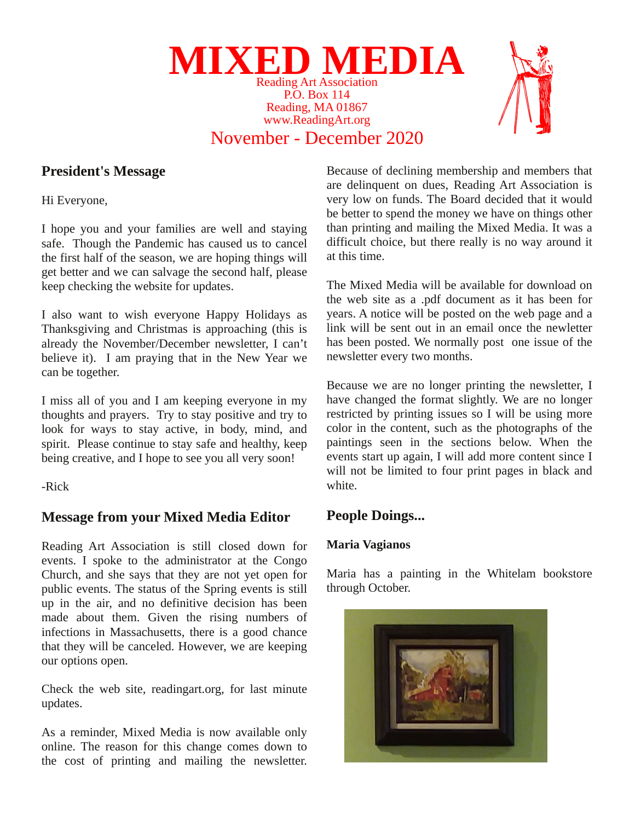

## **President's Message**

Hi Everyone,

I hope you and your families are well and staying safe. Though the Pandemic has caused us to cancel the first half of the season, we are hoping things will get better and we can salvage the second half, please keep checking the website for updates.

I also want to wish everyone Happy Holidays as Thanksgiving and Christmas is approaching (this is already the November/December newsletter, I can't believe it). I am praying that in the New Year we can be together.

I miss all of you and I am keeping everyone in my thoughts and prayers. Try to stay positive and try to look for ways to stay active, in body, mind, and spirit. Please continue to stay safe and healthy, keep being creative, and I hope to see you all very soon!

-Rick

### **Message from your Mixed Media Editor**

Reading Art Association is still closed down for events. I spoke to the administrator at the Congo Church, and she says that they are not yet open for public events. The status of the Spring events is still up in the air, and no definitive decision has been made about them. Given the rising numbers of infections in Massachusetts, there is a good chance that they will be canceled. However, we are keeping our options open.

Check the web site, readingart.org, for last minute updates.

As a reminder, Mixed Media is now available only online. The reason for this change comes down to the cost of printing and mailing the newsletter. Because of declining membership and members that are delinquent on dues, Reading Art Association is very low on funds. The Board decided that it would be better to spend the money we have on things other than printing and mailing the Mixed Media. It was a difficult choice, but there really is no way around it at this time.

The Mixed Media will be available for download on the web site as a .pdf document as it has been for years. A notice will be posted on the web page and a link will be sent out in an email once the newletter has been posted. We normally post one issue of the newsletter every two months.

Because we are no longer printing the newsletter, I have changed the format slightly. We are no longer restricted by printing issues so I will be using more color in the content, such as the photographs of the paintings seen in the sections below. When the events start up again, I will add more content since I will not be limited to four print pages in black and white.

### **People Doings...**

#### **Maria Vagianos**

Maria has a painting in the Whitelam bookstore through October.

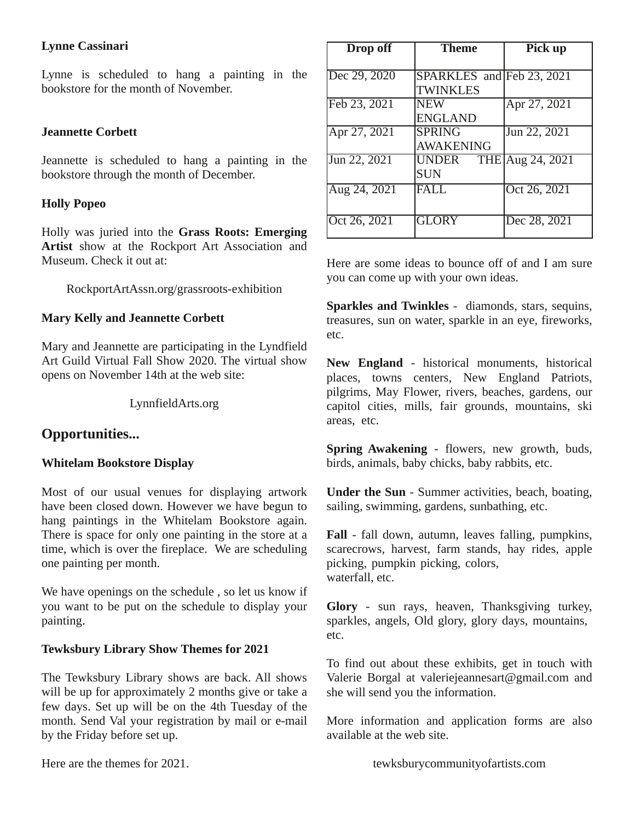## **Lynne Cassinari**

Lynne is scheduled to hang a painting in the bookstore for the month of November.

### **Jeannette Corbett**

Jeannette is scheduled to hang a painting in the bookstore through the month of December.

#### **Holly Popeo**

Holly was juried into the **Grass Roots: Emerging Artist** show at the Rockport Art Association and Museum. Check it out at:

RockportArtAssn.org/grassroots-exhibition

#### **Mary Kelly and Jeannette Corbett**

Mary and Jeannette are participating in the Lyndfield Art Guild Virtual Fall Show 2020. The virtual show opens on November 14th at the web site:

LynnfieldArts.org

### **Opportunities...**

#### **Whitelam Bookstore Display**

Most of our usual venues for displaying artwork have been closed down. However we have begun to hang paintings in the Whitelam Bookstore again. There is space for only one painting in the store at a time, which is over the fireplace. We are scheduling one painting per month.

We have openings on the schedule , so let us know if you want to be put on the schedule to display your painting.

#### **Tewksbury Library Show Themes for 2021**

The Tewksbury Library shows are back. All shows will be up for approximately 2 months give or take a few days. Set up will be on the 4th Tuesday of the month. Send Val your registration by mail or e-mail by the Friday before set up.

| Drop off     | <b>Theme</b>                                 | Pick up          |
|--------------|----------------------------------------------|------------------|
| Dec 29, 2020 | SPARKLES and Feb 23, 2021<br><b>TWINKLES</b> |                  |
| Feb 23, 2021 | NEW<br><b>ENGLAND</b>                        | Apr 27, 2021     |
| Apr 27, 2021 | <b>SPRING</b><br>AWAKENING                   | Jun 22, 2021     |
| Jun 22, 2021 | UNDER<br><b>SUN</b>                          | THE Aug 24, 2021 |
| Aug 24, 2021 | FALL                                         | Oct 26, 2021     |
| Oct 26, 2021 | GLORY                                        | Dec 28, 2021     |

Here are some ideas to bounce off of and I am sure you can come up with your own ideas.

**Sparkles and Twinkles** - diamonds, stars, sequins, treasures, sun on water, sparkle in an eye, fireworks, etc.

**New England** - historical monuments, historical places, towns centers, New England Patriots, pilgrims, May Flower, rivers, beaches, gardens, our capitol cities, mills, fair grounds, mountains, ski areas, etc.

**Spring Awakening** - flowers, new growth, buds, birds, animals, baby chicks, baby rabbits, etc.

**Under the Sun** - Summer activities, beach, boating, sailing, swimming, gardens, sunbathing, etc.

**Fall** - fall down, autumn, leaves falling, pumpkins, scarecrows, harvest, farm stands, hay rides, apple picking, pumpkin picking, colors, waterfall, etc.

**Glory** - sun rays, heaven, Thanksgiving turkey, sparkles, angels, Old glory, glory days, mountains, etc.

To find out about these exhibits, get in touch with Valerie Borgal at valeriejeannesart@gmail.com and she will send you the information.

More information and application forms are also available at the web site.

Here are the themes for 2021.

tewksburycommunityofartists.com